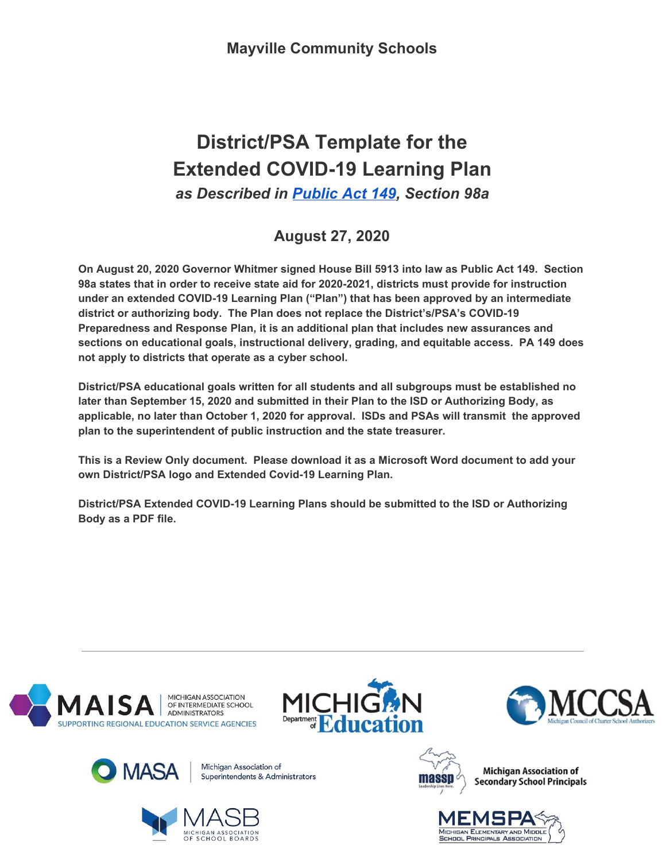# **District/PSA Template for the Extended COVID-19 Learning Plan** *as Described in [Public](https://drive.google.com/file/d/1EwUD2q7H_56TE4pDk3X8QNSc4fIUF-M2/view?usp=sharing) Act 149, Section 98a*

**August 27, 2020**

**On August 20, 2020 Governor Whitmer signed House Bill 5913 into law as Public Act 149. Section 98a states that in order to receive state aid for 2020-2021, districts must provide for instruction under an extended COVID-19 Learning Plan ("Plan") that has been approved by an intermediate district or authorizing body. The Plan does not replace the District's/PSA's COVID-19 Preparedness and Response Plan, it is an additional plan that includes new assurances and sections on educational goals, instructional delivery, grading, and equitable access. PA 149 does not apply to districts that operate as a cyber school.**

**District/PSA educational goals written for all students and all subgroups must be established no later than September 15, 2020 and submitted in their Plan to the ISD or Authorizing Body, as applicable, no later than October 1, 2020 for approval. ISDs and PSAs will transmit the approved plan to the superintendent of public instruction and the state treasurer.**

**This is a Review Only document. Please download it as a Microsoft Word document to add your own District/PSA logo and Extended Covid-19 Learning Plan.**

**District/PSA Extended COVID-19 Learning Plans should be submitted to the ISD or Authorizing Body as a PDF file.**















**Michigan Association of Secondary School Principals** 

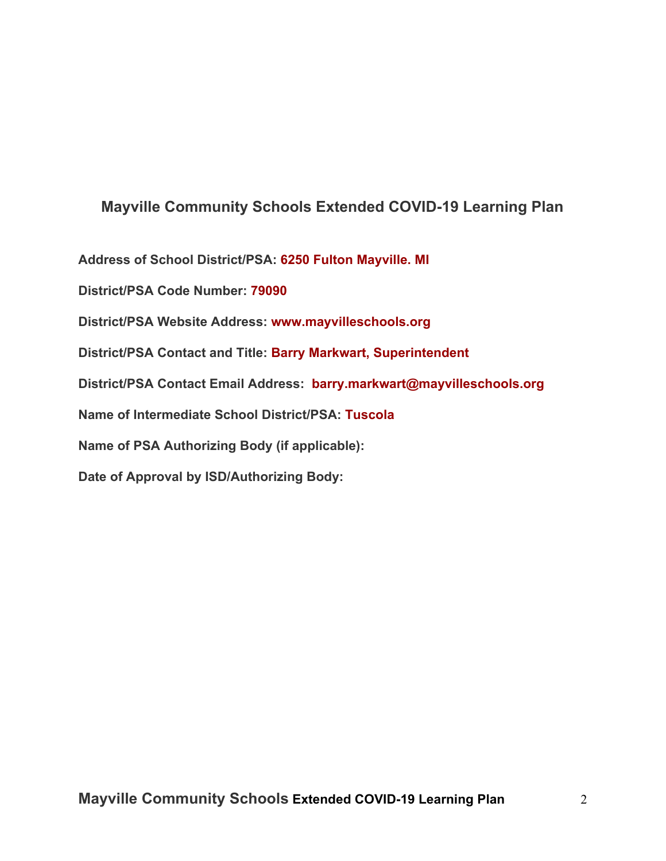# **Mayville Community Schools Extended COVID-19 Learning Plan**

**Address of School District/PSA: 6250 Fulton Mayville. MI**

**District/PSA Code Number: 79090**

**District/PSA Website Address: www.mayvilleschools.org**

**District/PSA Contact and Title: Barry Markwart, Superintendent**

**District/PSA Contact Email Address: barry.markwart@mayvilleschools.org**

**Name of Intermediate School District/PSA: Tuscola**

**Name of PSA Authorizing Body (if applicable):**

**Date of Approval by ISD/Authorizing Body:**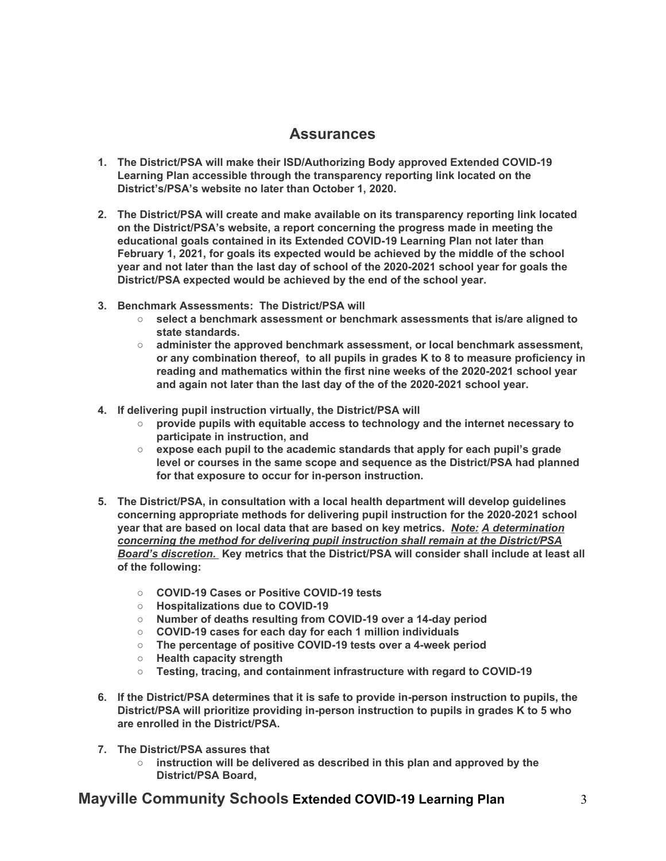# **Assurances**

- **1. The District/PSA will make their ISD/Authorizing Body approved Extended COVID-19 Learning Plan accessible through the transparency reporting link located on the District's/PSA's website no later than October 1, 2020.**
- **2. The District/PSA will create and make available on its transparency reporting link located on the District/PSA's website, a report concerning the progress made in meeting the educational goals contained in its Extended COVID-19 Learning Plan not later than February 1, 2021, for goals its expected would be achieved by the middle of the school year and not later than the last day of school of the 2020-2021 school year for goals the District/PSA expected would be achieved by the end of the school year.**
- **3. Benchmark Assessments: The District/PSA will**
	- **○ select a benchmark assessment or benchmark assessments that is/are aligned to state standards.**
	- **○ administer the approved benchmark assessment, or local benchmark assessment, or any combination thereof, to all pupils in grades K to 8 to measure proficiency in reading and mathematics within the first nine weeks of the 2020-2021 school year and again not later than the last day of the of the 2020-2021 school year.**
- **4. If delivering pupil instruction virtually, the District/PSA will**
	- **○ provide pupils with equitable access to technology and the internet necessary to participate in instruction, and**
	- **○ expose each pupil to the academic standards that apply for each pupil's grade level or courses in the same scope and sequence as the District/PSA had planned for that exposure to occur for in-person instruction.**
- **5. The District/PSA, in consultation with a local health department will develop guidelines concerning appropriate methods for delivering pupil instruction for the 2020-2021 school year that are based on local data that are based on key metrics.** *Note: A determination concerning the method for delivering pupil instruction shall remain at the District/PSA Board's discretion.* **Key metrics that the District/PSA will consider shall include at least all of the following:**
	- **○ COVID-19 Cases or Positive COVID-19 tests**
	- **○ Hospitalizations due to COVID-19**
	- **○ Number of deaths resulting from COVID-19 over a 14-day period**
	- **○ COVID-19 cases for each day for each 1 million individuals**
	- **○ The percentage of positive COVID-19 tests over a 4-week period**
	- **○ Health capacity strength**
	- **○ Testing, tracing, and containment infrastructure with regard to COVID-19**
- **6. If the District/PSA determines that it is safe to provide in-person instruction to pupils, the District/PSA will prioritize providing in-person instruction to pupils in grades K to 5 who are enrolled in the District/PSA.**
- **7. The District/PSA assures that**
	- **○ instruction will be delivered as described in this plan and approved by the District/PSA Board,**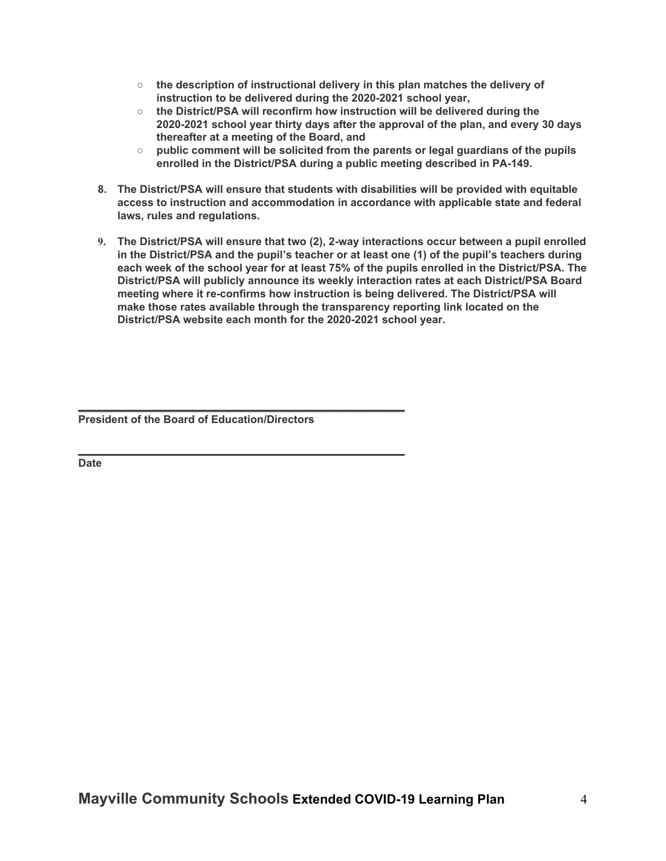- **○ the description of instructional delivery in this plan matches the delivery of instruction to be delivered during the 2020-2021 school year,**
- **○ the District/PSA will reconfirm how instruction will be delivered during the 2020-2021 school year thirty days after the approval of the plan, and every 30 days thereafter at a meeting of the Board, and**
- **○ public comment will be solicited from the parents or legal guardians of the pupils enrolled in the District/PSA during a public meeting described in PA-149.**
- **8. The District/PSA will ensure that students with disabilities will be provided with equitable access to instruction and accommodation in accordance with applicable state and federal laws, rules and regulations.**
- **9. The District/PSA will ensure that two (2), 2-way interactions occur between a pupil enrolled in the District/PSA and the pupil's teacher or at least one (1) of the pupil's teachers during each week of the school year for at least 75% of the pupils enrolled in the District/PSA. The District/PSA will publicly announce its weekly interaction rates at each District/PSA Board meeting where it re-confirms how instruction is being delivered. The District/PSA will make those rates available through the transparency reporting link located on the District/PSA website each month for the 2020-2021 school year.**

**President of the Board of Education/Directors**

**\_\_\_\_\_\_\_\_\_\_\_\_\_\_\_\_\_\_\_\_\_\_\_\_\_\_\_\_\_\_\_\_\_\_\_\_\_\_\_\_\_\_\_\_\_\_\_\_\_\_**

**\_\_\_\_\_\_\_\_\_\_\_\_\_\_\_\_\_\_\_\_\_\_\_\_\_\_\_\_\_\_\_\_\_\_\_\_\_\_\_\_\_\_\_\_\_\_\_\_\_\_**

**Date**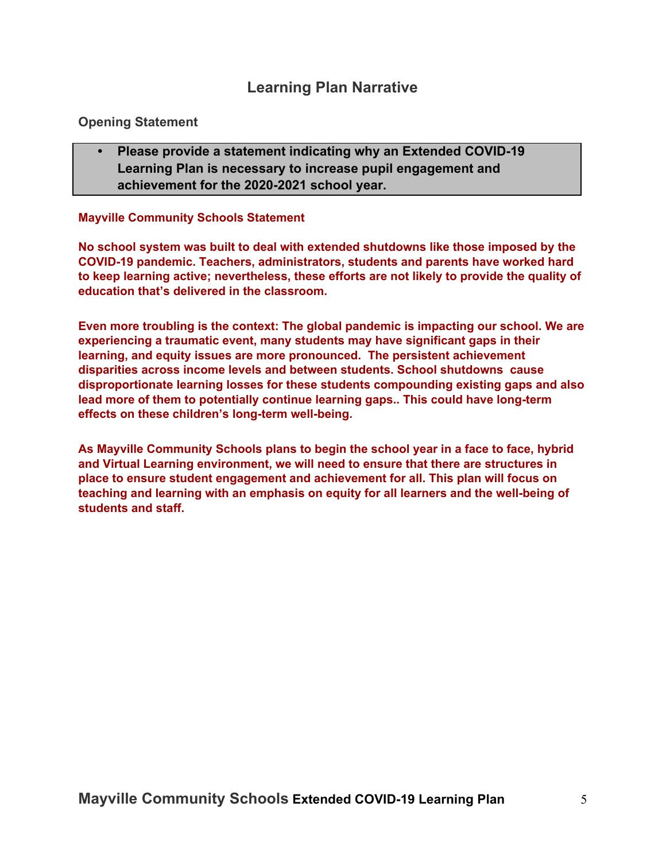# **Learning Plan Narrative**

### **Opening Statement**

**• Please provide a statement indicating why an Extended COVID-19 Learning Plan is necessary to increase pupil engagement and achievement for the 2020-2021 school year.**

#### **Mayville Community Schools Statement**

**No school system was built to deal with extended shutdowns like those imposed by the COVID-19 pandemic. Teachers, administrators, students and parents have worked hard to keep learning active; nevertheless, these efforts are not likely to provide the quality of education that's delivered in the classroom.**

**Even more troubling is the context: The global pandemic is impacting our school. We are experiencing a traumatic event, many students may have significant gaps in their learning, and equity issues are more pronounced. The persistent achievement disparities across income levels and between students. School shutdowns cause disproportionate learning losses for these students compounding existing gaps and also lead more of them to potentially continue learning gaps.. This could have long-term effects on these children's long-term well-being.**

**As Mayville Community Schools plans to begin the school year in a face to face, hybrid and Virtual Learning environment, we will need to ensure that there are structures in place to ensure student engagement and achievement for all. This plan will focus on teaching and learning with an emphasis on equity for all learners and the well-being of students and staff.**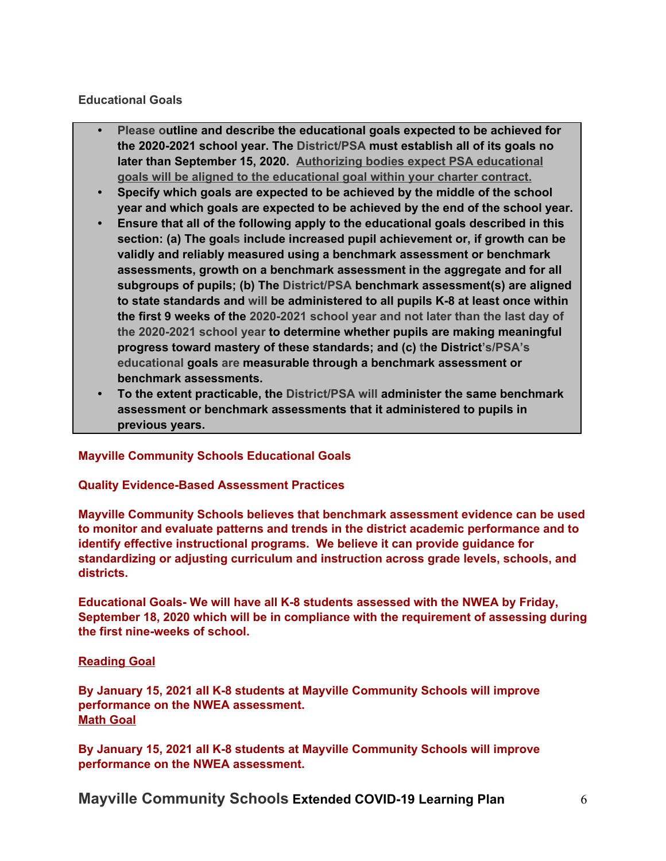#### **Educational Goals**

- **• Please outline and describe the educational goals expected to be achieved for the 2020-2021 school year. The District/PSA must establish all of its goals no later than September 15, 2020. Authorizing bodies expect PSA educational goals will be aligned to the educational goal within your charter contract.**
- **• Specify which goals are expected to be achieved by the middle of the school year and which goals are expected to be achieved by the end of the school year.**
- **• Ensure that all of the following apply to the educational goals described in this section: (a) The goals include increased pupil achievement or, if growth can be validly and reliably measured using a benchmark assessment or benchmark assessments, growth on a benchmark assessment in the aggregate and for all subgroups of pupils; (b) The District/PSA benchmark assessment(s) are aligned to state standards and will be administered to all pupils K-8 at least once within the first 9 weeks of the 2020-2021 school year and not later than the last day of the 2020-2021 school year to determine whether pupils are making meaningful progress toward mastery of these standards; and (c) the District's/PSA's educational goals are measurable through a benchmark assessment or benchmark assessments.**
- **• To the extent practicable, the District/PSA will administer the same benchmark assessment or benchmark assessments that it administered to pupils in previous years.**

#### **Mayville Community Schools Educational Goals**

#### **Quality Evidence-Based Assessment Practices**

**Mayville Community Schools believes that benchmark assessment evidence can be used to monitor and evaluate patterns and trends in the district academic performance and to identify effective instructional programs. We believe it can provide guidance for standardizing or adjusting curriculum and instruction across grade levels, schools, and districts.**

**Educational Goals- We will have all K-8 students assessed with the NWEA by Friday, September 18, 2020 which will be in compliance with the requirement of assessing during the first nine-weeks of school.**

#### **Reading Goal**

**By January 15, 2021 all K-8 students at Mayville Community Schools will improve performance on the NWEA assessment. Math Goal**

**By January 15, 2021 all K-8 students at Mayville Community Schools will improve performance on the NWEA assessment.**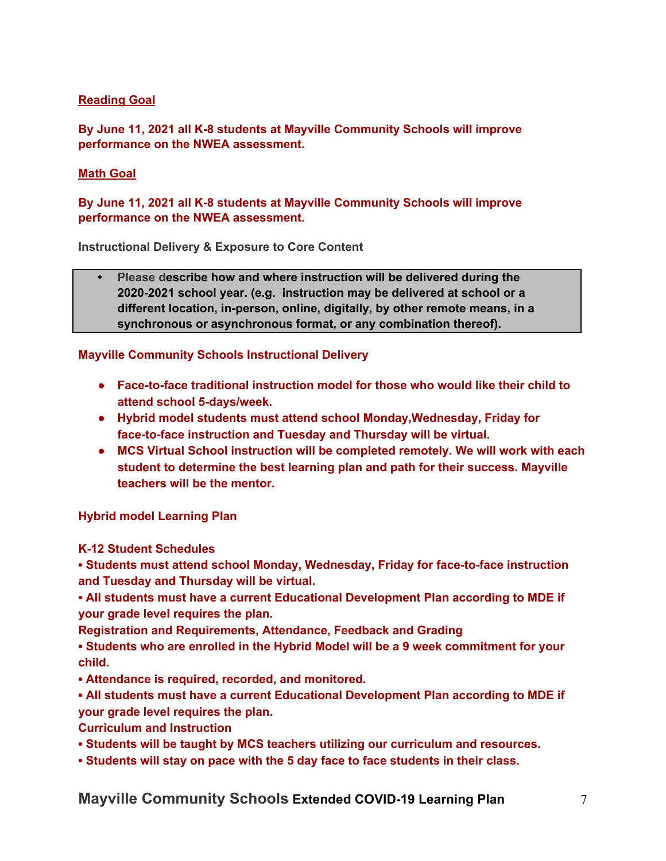#### **Reading Goal**

**By June 11, 2021 all K-8 students at Mayville Community Schools will improve performance on the NWEA assessment.**

#### **Math Goal**

**By June 11, 2021 all K-8 students at Mayville Community Schools will improve performance on the NWEA assessment.**

**Instructional Delivery & Exposure to Core Content**

**• Please describe how and where instruction will be delivered during the 2020-2021 school year. (e.g. instruction may be delivered at school or a different location, in-person, online, digitally, by other remote means, in a synchronous or asynchronous format, or any combination thereof).**

#### **Mayville Community Schools Instructional Delivery**

- **● Face-to-face traditional instruction model for those who would like their child to attend school 5-days/week.**
- **● Hybrid model students must attend school Monday,Wednesday, Friday for face-to-face instruction and Tuesday and Thursday will be virtual.**
- **● MCS Virtual School instruction will be completed remotely. We will work with each student to determine the best learning plan and path for their success. Mayville teachers will be the mentor.**

**Hybrid model Learning Plan**

**K-12 Student Schedules**

**▪ Students must attend school Monday, Wednesday, Friday for face-to-face instruction and Tuesday and Thursday will be virtual.**

**▪ All students must have a current Educational Development Plan according to MDE if your grade level requires the plan.**

**Registration and Requirements, Attendance, Feedback and Grading**

**▪ Students who are enrolled in the Hybrid Model will be a 9 week commitment for your child.**

**▪ Attendance is required, recorded, and monitored.**

**▪ All students must have a current Educational Development Plan according to MDE if your grade level requires the plan.**

**Curriculum and Instruction**

- **▪ Students will be taught by MCS teachers utilizing our curriculum and resources.**
- **▪ Students will stay on pace with the 5 day face to face students in their class.**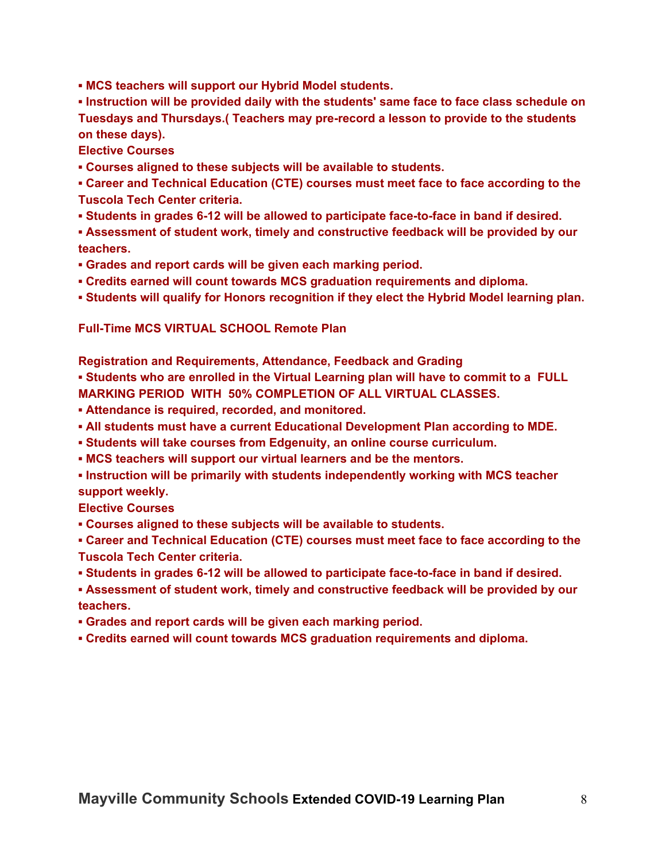**▪ MCS teachers will support our Hybrid Model students.**

**▪ Instruction will be provided daily with the students' same face to face class schedule on Tuesdays and Thursdays.( Teachers may pre-record a lesson to provide to the students on these days).**

**Elective Courses**

**▪ Courses aligned to these subjects will be available to students.**

**▪ Career and Technical Education (CTE) courses must meet face to face according to the Tuscola Tech Center criteria.**

**▪ Students in grades 6-12 will be allowed to participate face-to-face in band if desired.**

**▪ Assessment of student work, timely and constructive feedback will be provided by our teachers.**

- **▪ Grades and report cards will be given each marking period.**
- **▪ Credits earned will count towards MCS graduation requirements and diploma.**
- **▪ Students will qualify for Honors recognition if they elect the Hybrid Model learning plan.**

**Full-Time MCS VIRTUAL SCHOOL Remote Plan**

**Registration and Requirements, Attendance, Feedback and Grading**

**▪ Students who are enrolled in the Virtual Learning plan will have to commit to a FULL MARKING PERIOD WITH 50% COMPLETION OF ALL VIRTUAL CLASSES.**

- **▪ Attendance is required, recorded, and monitored.**
- **▪ All students must have a current Educational Development Plan according to MDE.**
- **▪ Students will take courses from Edgenuity, an online course curriculum.**
- **▪ MCS teachers will support our virtual learners and be the mentors.**
- **▪ Instruction will be primarily with students independently working with MCS teacher support weekly.**

**Elective Courses**

**▪ Courses aligned to these subjects will be available to students.**

**▪ Career and Technical Education (CTE) courses must meet face to face according to the Tuscola Tech Center criteria.**

**▪ Students in grades 6-12 will be allowed to participate face-to-face in band if desired.**

**▪ Assessment of student work, timely and constructive feedback will be provided by our teachers.**

**▪ Grades and report cards will be given each marking period.**

**▪ Credits earned will count towards MCS graduation requirements and diploma.**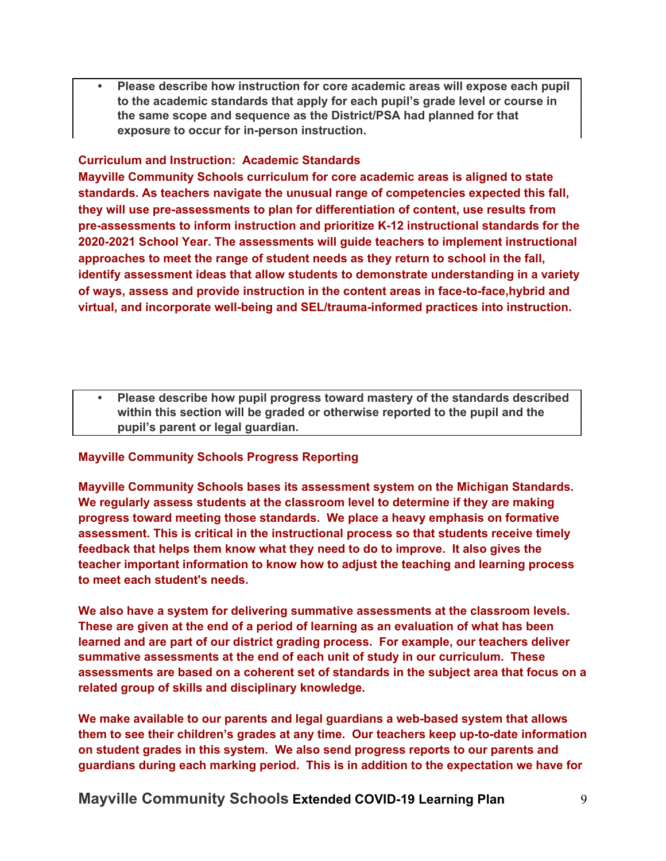**• Please describe how instruction for core academic areas will expose each pupil to the academic standards that apply for each pupil's grade level or course in the same scope and sequence as the District/PSA had planned for that exposure to occur for in-person instruction.**

#### **Curriculum and Instruction: Academic Standards**

**Mayville Community Schools curriculum for core academic areas is aligned to state standards. As teachers navigate the unusual range of competencies expected this fall, they will use pre-assessments to plan for differentiation of content, use results from pre-assessments to inform instruction and prioritize K-12 instructional standards for the 2020-2021 School Year. The assessments will guide teachers to implement instructional approaches to meet the range of student needs as they return to school in the fall, identify assessment ideas that allow students to demonstrate understanding in a variety of ways, assess and provide instruction in the content areas in face-to-face,hybrid and virtual, and incorporate well-being and SEL/trauma-informed practices into instruction.**

**• Please describe how pupil progress toward mastery of the standards described within this section will be graded or otherwise reported to the pupil and the pupil's parent or legal guardian.**

#### **Mayville Community Schools Progress Reporting**

**Mayville Community Schools bases its assessment system on the Michigan Standards. We regularly assess students at the classroom level to determine if they are making progress toward meeting those standards. We place a heavy emphasis on formative assessment. This is critical in the instructional process so that students receive timely feedback that helps them know what they need to do to improve. It also gives the teacher important information to know how to adjust the teaching and learning process to meet each student's needs.**

**We also have a system for delivering summative assessments at the classroom levels. These are given at the end of a period of learning as an evaluation of what has been learned and are part of our district grading process. For example, our teachers deliver summative assessments at the end of each unit of study in our curriculum. These assessments are based on a coherent set of standards in the subject area that focus on a related group of skills and disciplinary knowledge.**

**We make available to our parents and legal guardians a web-based system that allows them to see their children's grades at any time. Our teachers keep up-to-date information on student grades in this system. We also send progress reports to our parents and guardians during each marking period. This is in addition to the expectation we have for**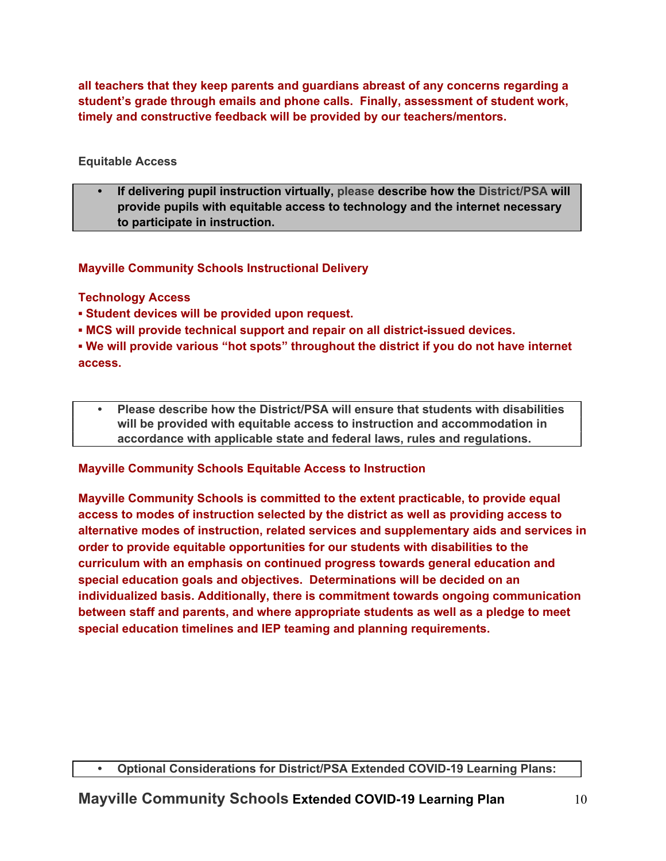**all teachers that they keep parents and guardians abreast of any concerns regarding a student's grade through emails and phone calls. Finally, assessment of student work, timely and constructive feedback will be provided by our teachers/mentors.**

## **Equitable Access**

**• If delivering pupil instruction virtually, please describe how the District/PSA will provide pupils with equitable access to technology and the internet necessary to participate in instruction.**

# **Mayville Community Schools Instructional Delivery**

# **Technology Access**

- **▪ Student devices will be provided upon request.**
- **▪ MCS will provide technical support and repair on all district-issued devices.**

**▪ We will provide various "hot spots" throughout the district if you do not have internet access.**

**• Please describe how the District/PSA will ensure that students with disabilities will be provided with equitable access to instruction and accommodation in accordance with applicable state and federal laws, rules and regulations.**

# **Mayville Community Schools Equitable Access to Instruction**

**Mayville Community Schools is committed to the extent practicable, to provide equal access to modes of instruction selected by the district as well as providing access to alternative modes of instruction, related services and supplementary aids and services in order to provide equitable opportunities for our students with disabilities to the curriculum with an emphasis on continued progress towards general education and special education goals and objectives. Determinations will be decided on an individualized basis. Additionally, there is commitment towards ongoing communication between staff and parents, and where appropriate students as well as a pledge to meet special education timelines and IEP teaming and planning requirements.**

## **• Optional Considerations for District/PSA Extended COVID-19 Learning Plans:**